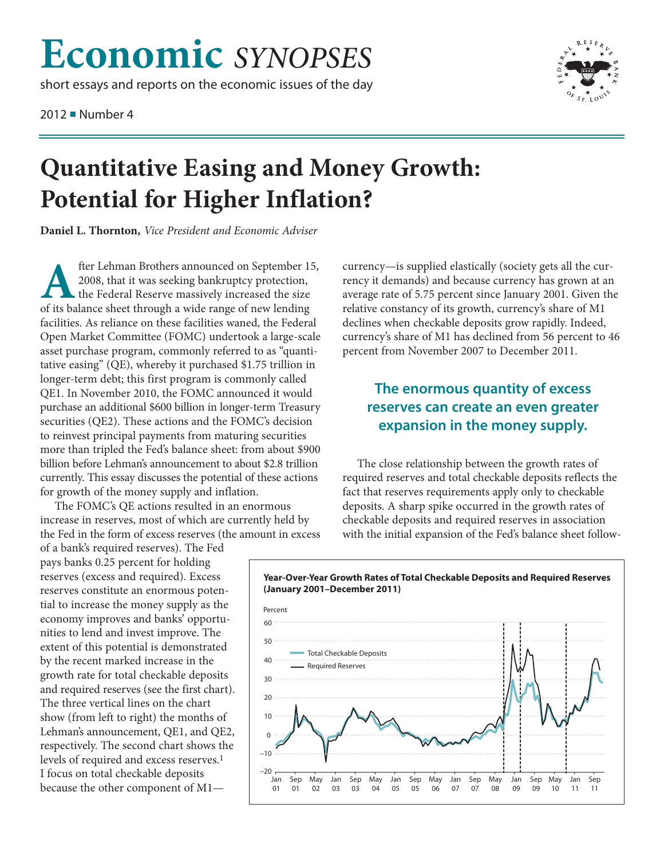## **Economic** *SYNOPSES*

short essays and reports on the economic issues of the day

2012 ■ Number 4



## **Quantitative Easing and Money Growth: Potential for Higher Inflation?**

**Daniel L. Thornton,** *Vice President and Economic Adviser*

fter Lehman Brothers announced on September 15,<br>2008, that it was seeking bankruptcy protection,<br>the Federal Reserve massively increased the size<br>of its balance sheet through a wide range of new lending 2008, that it was seeking bankruptcy protection, the Federal Reserve massively increased the size of its balance sheet through a wide range of new lending facilities. As reliance on these facilities waned, the Federal Open Market Committee (FOMC) undertook a large-scale asset purchase program, commonly referred to as "quantitative easing" (QE), whereby it purchased \$1.75 trillion in longer-term debt; this first program is commonly called QE1. In November 2010, the FOMC announced it would purchase an additional \$600 billion in longer-term Treasury securities (QE2). These actions and the FOMC's decision to reinvest principal payments from maturing securities more than tripled the Fed's balance sheet: from about \$900 billion before Lehman's announcement to about \$2.8 trillion currently. This essay discusses the potential of these actions for growth of the money supply and inflation.

The FOMC's QE actions resulted in an enormous increase in reserves, most of which are currently held by the Fed in the form of excess reserves (the amount in excess

of a bank's required reserves). The Fed pays banks 0.25 percent for holding reserves (excess and required). Excess reserves constitute an enormous potential to increase the money supply as the economy improves and banks' opportunities to lend and invest improve. The extent of this potential is demonstrated by the recent marked increase in the growth rate for total checkable deposits and required reserves (see the first chart). The three vertical lines on the chart show (from left to right) the months of Lehman's announcement, QE1, and QE2, respectively. The second chart shows the levels of required and excess reserves.1 I focus on total checkable deposits because the other component of M1currency—is supplied elastically (society gets all the currency it demands) and because currency has grown at an average rate of 5.75 percent since January 2001. Given the relative constancy of its growth, currency's share of M1 declines when checkable deposits grow rapidly. Indeed, currency's share of M1 has declined from 56 percent to 46 percent from November 2007 to December 2011.

## **The enormous quantity of excess reserves can create an even greater expansion in the money supply.**

The close relationship between the growth rates of required reserves and total checkable deposits reflects the fact that reserves requirements apply only to checkable deposits. A sharp spike occurred in the growth rates of checkable deposits and required reserves in association with the initial expansion of the Fed's balance sheet follow-